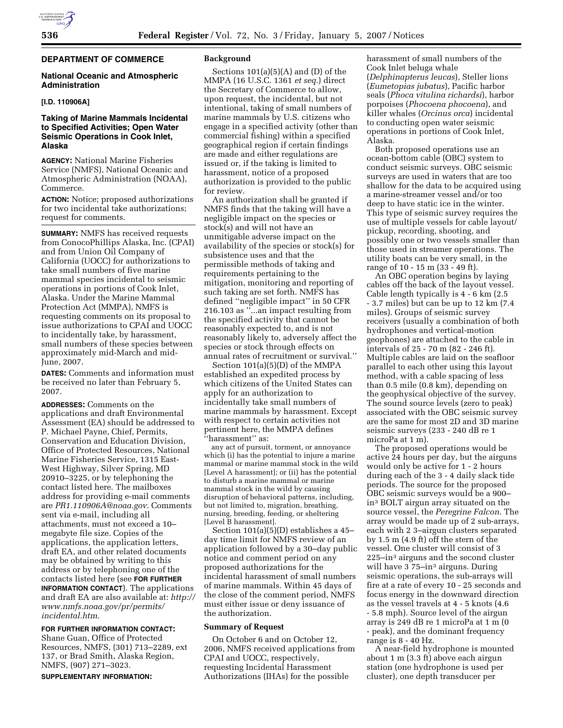## **DEPARTMENT OF COMMERCE**

## **National Oceanic and Atmospheric Administration**

## **[I.D. 110906A]**

## **Taking of Marine Mammals Incidental to Specified Activities; Open Water Seismic Operations in Cook Inlet, Alaska**

**AGENCY:** National Marine Fisheries Service (NMFS), National Oceanic and Atmospheric Administration (NOAA), Commerce.

**ACTION:** Notice; proposed authorizations for two incidental take authorizations; request for comments.

**SUMMARY:** NMFS has received requests from ConocoPhillips Alaska, Inc. (CPAI) and from Union Oil Company of California (UOCC) for authorizations to take small numbers of five marine mammal species incidental to seismic operations in portions of Cook Inlet, Alaska. Under the Marine Mammal Protection Act (MMPA), NMFS is requesting comments on its proposal to issue authorizations to CPAI and UOCC to incidentally take, by harassment, small numbers of these species between approximately mid-March and mid-June, 2007.

**DATES:** Comments and information must be received no later than February 5, 2007.

**ADDRESSES:** Comments on the applications and draft Environmental Assessment (EA) should be addressed to P. Michael Payne, Chief, Permits, Conservation and Education Division, Office of Protected Resources, National Marine Fisheries Service, 1315 East-West Highway, Silver Spring, MD 20910–3225, or by telephoning the contact listed here. The mailboxes address for providing e-mail comments are *PR1.110906A@noaa.gov*. Comments sent via e-mail, including all attachments, must not exceed a 10– megabyte file size. Copies of the applications, the application letters, draft EA, and other related documents may be obtained by writing to this address or by telephoning one of the contacts listed here (see **FOR FURTHER INFORMATION CONTACT**). The applications and draft EA are also available at: *http:// www.nmfs.noaa.gov/pr/permits/ incidental.htm*.

# **FOR FURTHER INFORMATION CONTACT:**

Shane Guan, Office of Protected Resources, NMFS, (301) 713–2289, ext 137, or Brad Smith, Alaska Region, NMFS, (907) 271–3023.

#### **SUPPLEMENTARY INFORMATION:**

#### **Background**

Sections  $101(a)(5)(A)$  and  $(D)$  of the MMPA (16 U.S.C. 1361 *et seq.*) direct the Secretary of Commerce to allow, upon request, the incidental, but not intentional, taking of small numbers of marine mammals by U.S. citizens who engage in a specified activity (other than commercial fishing) within a specified geographical region if certain findings are made and either regulations are issued or, if the taking is limited to harassment, notice of a proposed authorization is provided to the public for review.

An authorization shall be granted if NMFS finds that the taking will have a negligible impact on the species or stock(s) and will not have an unmitigable adverse impact on the availability of the species or stock(s) for subsistence uses and that the permissible methods of taking and requirements pertaining to the mitigation, monitoring and reporting of such taking are set forth. NMFS has defined ''negligible impact'' in 50 CFR 216.103 as ''...an impact resulting from the specified activity that cannot be reasonably expected to, and is not reasonably likely to, adversely affect the species or stock through effects on annual rates of recruitment or survival.''

Section 101(a)(5)(D) of the MMPA established an expedited process by which citizens of the United States can apply for an authorization to incidentally take small numbers of marine mammals by harassment. Except with respect to certain activities not pertinent here, the MMPA defines ''harassment'' as:

any act of pursuit, torment, or annoyance which (i) has the potential to injure a marine mammal or marine mammal stock in the wild [Level A harassment]; or (ii) has the potential to disturb a marine mammal or marine mammal stock in the wild by causing disruption of behavioral patterns, including, but not limited to, migration, breathing, nursing, breeding, feeding, or sheltering [Level B harassment].

Section 101(a)(5)(D) establishes a 45– day time limit for NMFS review of an application followed by a 30–day public notice and comment period on any proposed authorizations for the incidental harassment of small numbers of marine mammals. Within 45 days of the close of the comment period, NMFS must either issue or deny issuance of the authorization.

### **Summary of Request**

On October 6 and on October 12, 2006, NMFS received applications from CPAI and UOCC, respectively, requesting Incidental Harassment Authorizations (IHAs) for the possible

harassment of small numbers of the Cook Inlet beluga whale (*Delphinapterus leucas*), Steller lions (*Eumetopias jubatus*), Pacific harbor seals (*Phoca vitulina richardsi*), harbor porpoises (*Phocoena phocoena*), and killer whales (*Orcinus orca*) incidental to conducting open water seismic operations in portions of Cook Inlet, Alaska.

Both proposed operations use an ocean-bottom cable (OBC) system to conduct seismic surveys. OBC seismic surveys are used in waters that are too shallow for the data to be acquired using a marine-streamer vessel and/or too deep to have static ice in the winter. This type of seismic survey requires the use of multiple vessels for cable layout/ pickup, recording, shooting, and possibly one or two vessels smaller than those used in streamer operations. The utility boats can be very small, in the range of 10 - 15 m (33 - 49 ft).

An OBC operation begins by laying cables off the back of the layout vessel. Cable length typically is 4 - 6 km (2.5 - 3.7 miles) but can be up to 12 km (7.4 miles). Groups of seismic survey receivers (usually a combination of both hydrophones and vertical-motion geophones) are attached to the cable in intervals of 25 - 70 m (82 - 246 ft). Multiple cables are laid on the seafloor parallel to each other using this layout method, with a cable spacing of less than 0.5 mile (0.8 km), depending on the geophysical objective of the survey. The sound source levels (zero to peak) associated with the OBC seismic survey are the same for most 2D and 3D marine seismic surveys (233 - 240 dB re 1 microPa at 1 m).

The proposed operations would be active 24 hours per day, but the airguns would only be active for 1 - 2 hours during each of the 3 - 4 daily slack tide periods. The source for the proposed OBC seismic surveys would be a 900– in3 BOLT airgun array situated on the source vessel, the *Peregrine Falcon*. The array would be made up of 2 sub-arrays, each with 2 3–airgun clusters separated by 1.5 m (4.9 ft) off the stern of the vessel. One cluster will consist of 3 225–in3 airguns and the second cluster will have 3 75–in<sup>3</sup> airguns. During seismic operations, the sub-arrays will fire at a rate of every 10 - 25 seconds and focus energy in the downward direction as the vessel travels at 4 - 5 knots (4.6 - 5.8 mph). Source level of the airgun array is 249 dB re 1 microPa at 1 m (0 - peak), and the dominant frequency range is 8 - 40 Hz.

A near-field hydrophone is mounted about 1 m (3.3 ft) above each airgun station (one hydrophone is used per cluster), one depth transducer per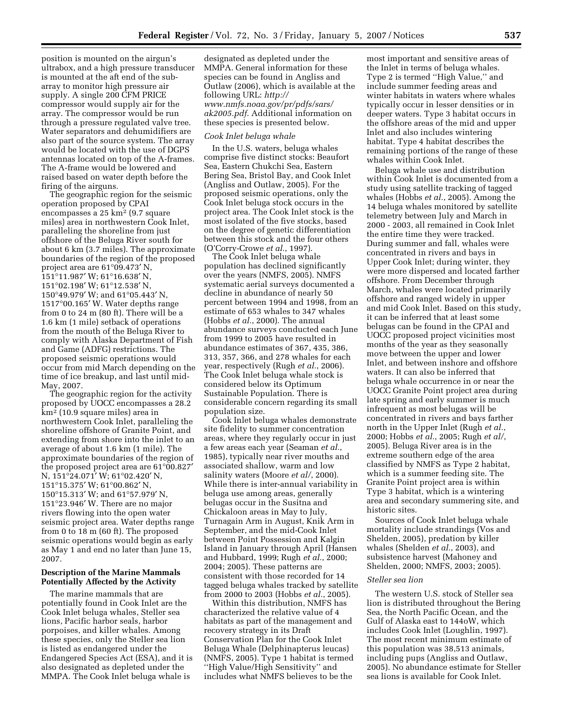position is mounted on the airgun's ultrabox, and a high pressure transducer is mounted at the aft end of the subarray to monitor high pressure air supply. A single 200 CFM PRICE compressor would supply air for the array. The compressor would be run through a pressure regulated valve tree. Water separators and dehumidifiers are also part of the source system. The array would be located with the use of DGPS antennas located on top of the A-frames. The A-frame would be lowered and raised based on water depth before the firing of the airguns.

The geographic region for the seismic operation proposed by CPAI encompasses a 25 km2 (9.7 square miles) area in northwestern Cook Inlet, paralleling the shoreline from just offshore of the Beluga River south for about 6 km (3.7 miles). The approximate boundaries of the region of the proposed project area are 61°09.473′ N, 151°11.987′ W; 61°16.638′ N, 151°02.198′ W; 61°12.538′ N, 150°49.979′ W; and 61°05.443′ N, 1517°00.165′ W. Water depths range from 0 to 24 m (80 ft). There will be a 1.6 km (1 mile) setback of operations from the mouth of the Beluga River to comply with Alaska Department of Fish and Game (ADFG) restrictions. The proposed seismic operations would occur from mid March depending on the time of ice breakup, and last until mid-May, 2007.

The geographic region for the activity proposed by UOCC encompasses a 28.2 km2 (10.9 square miles) area in northwestern Cook Inlet, paralleling the shoreline offshore of Granite Point, and extending from shore into the inlet to an average of about 1.6 km (1 mile). The approximate boundaries of the region of the proposed project area are 61°00.827′ N, 151°24.071′ W; 61°02.420′ N, 151°15.375′ W; 61°00.862′ N, 150°15.313′ W; and 61°57.979′ N, 151°23.946′ W. There are no major rivers flowing into the open water seismic project area. Water depths range from 0 to 18 m (60 ft). The proposed seismic operations would begin as early as May 1 and end no later than June 15, 2007.

## **Description of the Marine Mammals Potentially Affected by the Activity**

The marine mammals that are potentially found in Cook Inlet are the Cook Inlet beluga whales, Steller sea lions, Pacific harbor seals, harbor porpoises, and killer whales. Among these species, only the Steller sea lion is listed as endangered under the Endangered Species Act (ESA), and it is also designated as depleted under the MMPA. The Cook Inlet beluga whale is

designated as depleted under the MMPA. General information for these species can be found in Angliss and Outlaw (2006), which is available at the following URL: *http:// www.nmfs.noaa.gov/pr/pdfs/sars/ ak2005.pdf*. Additional information on these species is presented below.

### *Cook Inlet beluga whale*

In the U.S. waters, beluga whales comprise five distinct stocks: Beaufort Sea, Eastern Chukchi Sea, Eastern Bering Sea, Bristol Bay, and Cook Inlet (Angliss and Outlaw, 2005). For the proposed seismic operations, only the Cook Inlet beluga stock occurs in the project area. The Cook Inlet stock is the most isolated of the five stocks, based on the degree of genetic differentiation between this stock and the four others (O'Corry-Crowe *et al.*, 1997).

The Cook Inlet beluga whale population has declined significantly over the years (NMFS, 2005). NMFS systematic aerial surveys documented a decline in abundance of nearly 50 percent between 1994 and 1998, from an estimate of 653 whales to 347 whales (Hobbs *et al.*, 2000). The annual abundance surveys conducted each June from 1999 to 2005 have resulted in abundance estimates of 367, 435, 386, 313, 357, 366, and 278 whales for each year, respectively (Rugh *et al.*, 2006). The Cook Inlet beluga whale stock is considered below its Optimum Sustainable Population. There is considerable concern regarding its small population size.

Cook Inlet beluga whales demonstrate site fidelity to summer concentration areas, where they regularly occur in just a few areas each year (Seaman *et al.*, 1985), typically near river mouths and associated shallow, warm and low salinity waters (Moore *et al/*, 2000). While there is inter-annual variability in beluga use among areas, generally belugas occur in the Susitna and Chickaloon areas in May to July, Turnagain Arm in August, Knik Arm in September, and the mid-Cook Inlet between Point Possession and Kalgin Island in January through April (Hansen and Hubbard, 1999; Rugh *et al.*, 2000; 2004; 2005). These patterns are consistent with those recorded for 14 tagged beluga whales tracked by satellite from 2000 to 2003 (Hobbs *et al.*, 2005).

Within this distribution, NMFS has characterized the relative value of 4 habitats as part of the management and recovery strategy in its Draft Conservation Plan for the Cook Inlet Beluga Whale (Delphinapterus leucas) (NMFS, 2005). Type 1 habitat is termed ''High Value/High Sensitivity'' and includes what NMFS believes to be the

most important and sensitive areas of the Inlet in terms of beluga whales. Type 2 is termed "High Value," and include summer feeding areas and winter habitats in waters where whales typically occur in lesser densities or in deeper waters. Type 3 habitat occurs in the offshore areas of the mid and upper Inlet and also includes wintering habitat. Type 4 habitat describes the remaining portions of the range of these whales within Cook Inlet.

Beluga whale use and distribution within Cook Inlet is documented from a study using satellite tracking of tagged whales (Hobbs *et al.*, 2005). Among the 14 beluga whales monitored by satellite telemetry between July and March in 2000 - 2003, all remained in Cook Inlet the entire time they were tracked. During summer and fall, whales were concentrated in rivers and bays in Upper Cook Inlet; during winter, they were more dispersed and located farther offshore. From December through March, whales were located primarily offshore and ranged widely in upper and mid Cook Inlet. Based on this study, it can be inferred that at least some belugas can be found in the CPAI and UOCC proposed project vicinities most months of the year as they seasonally move between the upper and lower Inlet, and between inshore and offshore waters. It can also be inferred that beluga whale occurrence in or near the UOCC Granite Point project area during late spring and early summer is much infrequent as most belugas will be concentrated in rivers and bays farther north in the Upper Inlet (Rugh *et al.*, 2000; Hobbs *et al.*, 2005; Rugh *et al/*, 2005). Beluga River area is in the extreme southern edge of the area classified by NMFS as Type 2 habitat, which is a summer feeding site. The Granite Point project area is within Type 3 habitat, which is a wintering area and secondary summering site, and historic sites.

Sources of Cook Inlet beluga whale mortality include strandings (Vos and Shelden, 2005), predation by killer whales (Shelden *et al.*, 2003), and subsistence harvest (Mahoney and Shelden, 2000; NMFS, 2003; 2005).

### *Steller sea lion*

The western U.S. stock of Steller sea lion is distributed throughout the Bering Sea, the North Pacific Ocean, and the Gulf of Alaska east to 144oW, which includes Cook Inlet (Loughlin, 1997). The most recent minimum estimate of this population was 38,513 animals, including pups (Angliss and Outlaw, 2005). No abundance estimate for Steller sea lions is available for Cook Inlet.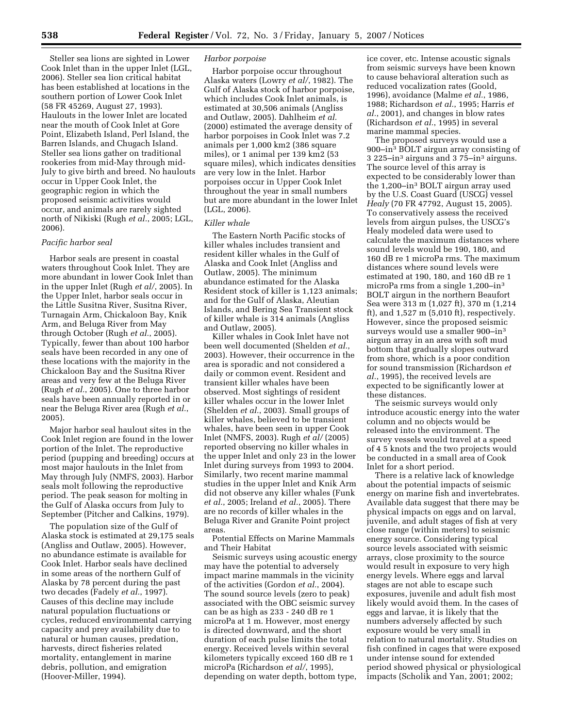Steller sea lions are sighted in Lower Cook Inlet than in the upper Inlet (LGL, 2006). Steller sea lion critical habitat has been established at locations in the southern portion of Lower Cook Inlet (58 FR 45269, August 27, 1993). Haulouts in the lower Inlet are located near the mouth of Cook Inlet at Gore Point, Elizabeth Island, Perl Island, the Barren Islands, and Chugach Island. Steller sea lions gather on traditional rookeries from mid-May through mid-July to give birth and breed. No haulouts occur in Upper Cook Inlet, the geographic region in which the proposed seismic activities would occur, and animals are rarely sighted north of Nikiski (Rugh *et al.*, 2005; LGL, 2006).

## *Pacific harbor seal*

Harbor seals are present in coastal waters throughout Cook Inlet. They are more abundant in lower Cook Inlet than in the upper Inlet (Rugh *et al/*, 2005). In the Upper Inlet, harbor seals occur in the Little Susitna River, Susitna River, Turnagain Arm, Chickaloon Bay, Knik Arm, and Beluga River from May through October (Rugh *et al.*, 2005). Typically, fewer than about 100 harbor seals have been recorded in any one of these locations with the majority in the Chickaloon Bay and the Susitna River areas and very few at the Beluga River (Rugh *et al.*, 2005). One to three harbor seals have been annually reported in or near the Beluga River area (Rugh *et al.*, 2005).

Major harbor seal haulout sites in the Cook Inlet region are found in the lower portion of the Inlet. The reproductive period (pupping and breeding) occurs at most major haulouts in the Inlet from May through July (NMFS, 2003). Harbor seals molt following the reproductive period. The peak season for molting in the Gulf of Alaska occurs from July to September (Pitcher and Calkins, 1979).

The population size of the Gulf of Alaska stock is estimated at 29,175 seals (Angliss and Outlaw, 2005). However, no abundance estimate is available for Cook Inlet. Harbor seals have declined in some areas of the northern Gulf of Alaska by 78 percent during the past two decades (Fadely *et al.*, 1997). Causes of this decline may include natural population fluctuations or cycles, reduced environmental carrying capacity and prey availability due to natural or human causes, predation, harvests, direct fisheries related mortality, entanglement in marine debris, pollution, and emigration (Hoover-Miller, 1994).

### *Harbor porpoise*

Harbor porpoise occur throughout Alaska waters (Lowry *et al/*, 1982). The Gulf of Alaska stock of harbor porpoise, which includes Cook Inlet animals, is estimated at 30,506 animals (Angliss and Outlaw, 2005). Dahlheim *et al.*  (2000) estimated the average density of harbor porpoises in Cook Inlet was 7.2 animals per 1,000 km2 (386 square miles), or 1 animal per 139 km2 (53 square miles), which indicates densities are very low in the Inlet. Harbor porpoises occur in Upper Cook Inlet throughout the year in small numbers but are more abundant in the lower Inlet (LGL, 2006).

#### *Killer whale*

The Eastern North Pacific stocks of killer whales includes transient and resident killer whales in the Gulf of Alaska and Cook Inlet (Angliss and Outlaw, 2005). The minimum abundance estimated for the Alaska Resident stock of killer is 1,123 animals; and for the Gulf of Alaska, Aleutian Islands, and Bering Sea Transient stock of killer whale is 314 animals (Angliss and Outlaw, 2005).

Killer whales in Cook Inlet have not been well documented (Shelden *et al.*, 2003). However, their occurrence in the area is sporadic and not considered a daily or common event. Resident and transient killer whales have been observed. Most sightings of resident killer whales occur in the lower Inlet (Shelden *et al.*, 2003). Small groups of killer whales, believed to be transient whales, have been seen in upper Cook Inlet (NMFS, 2003). Rugh *et al/* (2005) reported observing no killer whales in the upper Inlet and only 23 in the lower Inlet during surveys from 1993 to 2004. Similarly, two recent marine mammal studies in the upper Inlet and Knik Arm did not observe any killer whales (Funk *et al.*, 2005; Ireland *et al.*, 2005). There are no records of killer whales in the Beluga River and Granite Point project areas.

Potential Effects on Marine Mammals and Their Habitat

Seismic surveys using acoustic energy may have the potential to adversely impact marine mammals in the vicinity of the activities (Gordon *et al.*, 2004). The sound source levels (zero to peak) associated with the OBC seismic survey can be as high as 233 - 240 dB re 1 microPa at 1 m. However, most energy is directed downward, and the short duration of each pulse limits the total energy. Received levels within several kilometers typically exceed 160 dB re 1 microPa (Richardson *et al/*, 1995), depending on water depth, bottom type,

ice cover, etc. Intense acoustic signals from seismic surveys have been known to cause behavioral alteration such as reduced vocalization rates (Goold, 1996), avoidance (Malme *et al.*, 1986, 1988; Richardson *et al.*, 1995; Harris *et al.*, 2001), and changes in blow rates (Richardson *et al.*, 1995) in several marine mammal species.

The proposed surveys would use a 900–in3 BOLT airgun array consisting of 3 225–in3 airguns and 3 75–in3 airguns. The source level of this array is expected to be considerably lower than the 1,200–in3 BOLT airgun array used by the U.S. Coast Guard (USCG) vessel *Healy* (70 FR 47792, August 15, 2005). To conservatively assess the received levels from airgun pulses, the USCG's Healy modeled data were used to calculate the maximum distances where sound levels would be 190, 180, and 160 dB re 1 microPa rms. The maximum distances where sound levels were estimated at 190, 180, and 160 dB re 1 microPa rms from a single 1,200-in<sup>3</sup> BOLT airgun in the northern Beaufort Sea were 313 m (1,027 ft), 370 m (1,214 ft), and 1,527 m (5,010 ft), respectively. However, since the proposed seismic surveys would use a smaller 900–in3 airgun array in an area with soft mud bottom that gradually slopes outward from shore, which is a poor condition for sound transmission (Richardson *et al.*, 1995), the received levels are expected to be significantly lower at these distances.

The seismic surveys would only introduce acoustic energy into the water column and no objects would be released into the environment. The survey vessels would travel at a speed of 4 5 knots and the two projects would be conducted in a small area of Cook Inlet for a short period.

There is a relative lack of knowledge about the potential impacts of seismic energy on marine fish and invertebrates. Available data suggest that there may be physical impacts on eggs and on larval, juvenile, and adult stages of fish at very close range (within meters) to seismic energy source. Considering typical source levels associated with seismic arrays, close proximity to the source would result in exposure to very high energy levels. Where eggs and larval stages are not able to escape such exposures, juvenile and adult fish most likely would avoid them. In the cases of eggs and larvae, it is likely that the numbers adversely affected by such exposure would be very small in relation to natural mortality. Studies on fish confined in cages that were exposed under intense sound for extended period showed physical or physiological impacts (Scholik and Yan, 2001; 2002;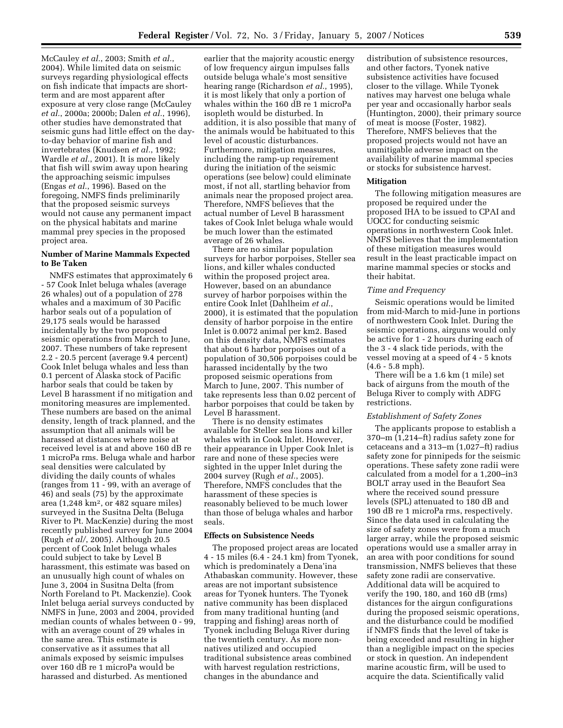McCauley *et al.*, 2003; Smith *et al.*, 2004). While limited data on seismic surveys regarding physiological effects on fish indicate that impacts are shortterm and are most apparent after exposure at very close range (McCauley *et al.*, 2000a; 2000b; Dalen *et al.*, 1996), other studies have demonstrated that seismic guns had little effect on the dayto-day behavior of marine fish and invertebrates (Knudsen *et al.*, 1992; Wardle *et al.*, 2001). It is more likely that fish will swim away upon hearing the approaching seismic impulses (Engas *et al.*, 1996). Based on the foregoing, NMFS finds preliminarily that the proposed seismic surveys would not cause any permanent impact on the physical habitats and marine mammal prey species in the proposed project area.

## **Number of Marine Mammals Expected to Be Taken**

NMFS estimates that approximately 6 - 57 Cook Inlet beluga whales (average 26 whales) out of a population of 278 whales and a maximum of 30 Pacific harbor seals out of a population of 29,175 seals would be harassed incidentally by the two proposed seismic operations from March to June, 2007. These numbers of take represent 2.2 - 20.5 percent (average 9.4 percent) Cook Inlet beluga whales and less than 0.1 percent of Alaska stock of Pacific harbor seals that could be taken by Level B harassment if no mitigation and monitoring measures are implemented. These numbers are based on the animal density, length of track planned, and the assumption that all animals will be harassed at distances where noise at received level is at and above 160 dB re 1 microPa rms. Beluga whale and harbor seal densities were calculated by dividing the daily counts of whales (ranges from 11 - 99, with an average of 46) and seals (75) by the approximate area  $(1,248 \text{ km}^2, \text{ or } 482 \text{ square miles})$ surveyed in the Susitna Delta (Beluga River to Pt. MacKenzie) during the most recently published survey for June 2004 (Rugh *et al/*, 2005). Although 20.5 percent of Cook Inlet beluga whales could subject to take by Level B harassment, this estimate was based on an unusually high count of whales on June 3, 2004 in Susitna Delta (from North Foreland to Pt. Mackenzie). Cook Inlet beluga aerial surveys conducted by NMFS in June, 2003 and 2004, provided median counts of whales between 0 - 99, with an average count of 29 whales in the same area. This estimate is conservative as it assumes that all animals exposed by seismic impulses over 160 dB re 1 microPa would be harassed and disturbed. As mentioned

earlier that the majority acoustic energy of low frequency airgun impulses falls outside beluga whale's most sensitive hearing range (Richardson *et al.*, 1995), it is most likely that only a portion of whales within the 160 dB re 1 microPa isopleth would be disturbed. In addition, it is also possible that many of the animals would be habituated to this level of acoustic disturbances. Furthermore, mitigation measures, including the ramp-up requirement during the initiation of the seismic operations (see below) could eliminate most, if not all, startling behavior from animals near the proposed project area. Therefore, NMFS believes that the actual number of Level B harassment takes of Cook Inlet beluga whale would be much lower than the estimated average of 26 whales.

There are no similar population surveys for harbor porpoises, Steller sea lions, and killer whales conducted within the proposed project area. However, based on an abundance survey of harbor porpoises within the entire Cook Inlet (Dahlheim *et al.*, 2000), it is estimated that the population density of harbor porpoise in the entire Inlet is 0.0072 animal per km2. Based on this density data, NMFS estimates that about 6 harbor porpoises out of a population of 30,506 porpoises could be harassed incidentally by the two proposed seismic operations from March to June, 2007. This number of take represents less than 0.02 percent of harbor porpoises that could be taken by Level B harassment.

There is no density estimates available for Steller sea lions and killer whales with in Cook Inlet. However, their appearance in Upper Cook Inlet is rare and none of these species were sighted in the upper Inlet during the 2004 survey (Rugh *et al.*, 2005). Therefore, NMFS concludes that the harassment of these species is reasonably believed to be much lower than those of beluga whales and harbor seals.

### **Effects on Subsistence Needs**

The proposed project areas are located 4 - 15 miles (6.4 - 24.1 km) from Tyonek, which is predominately a Dena'ina Athabaskan community. However, these areas are not important subsistence areas for Tyonek hunters. The Tyonek native community has been displaced from many traditional hunting (and trapping and fishing) areas north of Tyonek including Beluga River during the twentieth century. As more nonnatives utilized and occupied traditional subsistence areas combined with harvest regulation restrictions, changes in the abundance and

distribution of subsistence resources, and other factors, Tyonek native subsistence activities have focused closer to the village. While Tyonek natives may harvest one beluga whale per year and occasionally harbor seals (Huntington, 2000), their primary source of meat is moose (Foster, 1982). Therefore, NMFS believes that the proposed projects would not have an unmitigable adverse impact on the availability of marine mammal species or stocks for subsistence harvest.

### **Mitigation**

The following mitigation measures are proposed be required under the proposed IHA to be issued to CPAI and UOCC for conducting seismic operations in northwestern Cook Inlet. NMFS believes that the implementation of these mitigation measures would result in the least practicable impact on marine mammal species or stocks and their habitat.

#### *Time and Frequency*

Seismic operations would be limited from mid-March to mid-June in portions of northwestern Cook Inlet. During the seismic operations, airguns would only be active for 1 - 2 hours during each of the 3 - 4 slack tide periods, with the vessel moving at a speed of 4 - 5 knots  $(4.6 - 5.8 \text{ mph})$ .

There will be a 1.6 km (1 mile) set back of airguns from the mouth of the Beluga River to comply with ADFG restrictions.

### *Establishment of Safety Zones*

The applicants propose to establish a 370–m (1,214–ft) radius safety zone for cetaceans and a 313–m (1,027–ft) radius safety zone for pinnipeds for the seismic operations. These safety zone radii were calculated from a model for a 1,200–in3 BOLT array used in the Beaufort Sea where the received sound pressure levels (SPL) attenuated to 180 dB and 190 dB re 1 microPa rms, respectively. Since the data used in calculating the size of safety zones were from a much larger array, while the proposed seismic operations would use a smaller array in an area with poor conditions for sound transmission, NMFS believes that these safety zone radii are conservative. Additional data will be acquired to verify the 190, 180, and 160 dB (rms) distances for the airgun configurations during the proposed seismic operations, and the disturbance could be modified if NMFS finds that the level of take is being exceeded and resulting in higher than a negligible impact on the species or stock in question. An independent marine acoustic firm, will be used to acquire the data. Scientifically valid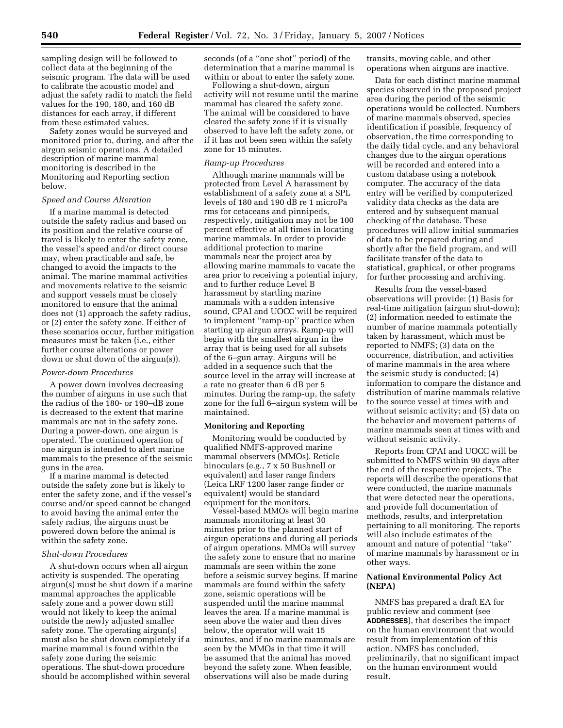sampling design will be followed to collect data at the beginning of the seismic program. The data will be used to calibrate the acoustic model and adjust the safety radii to match the field values for the 190, 180, and 160 dB distances for each array, if different from these estimated values.

Safety zones would be surveyed and monitored prior to, during, and after the airgun seismic operations. A detailed description of marine mammal monitoring is described in the Monitoring and Reporting section below.

### *Speed and Course Alteration*

If a marine mammal is detected outside the safety radius and based on its position and the relative course of travel is likely to enter the safety zone, the vessel's speed and/or direct course may, when practicable and safe, be changed to avoid the impacts to the animal. The marine mammal activities and movements relative to the seismic and support vessels must be closely monitored to ensure that the animal does not (1) approach the safety radius, or (2) enter the safety zone. If either of these scenarios occur, further mitigation measures must be taken (i.e., either further course alterations or power down or shut down of the airgun(s)).

#### *Power-down Procedures*

A power down involves decreasing the number of airguns in use such that the radius of the 180- or 190–dB zone is decreased to the extent that marine mammals are not in the safety zone. During a power-down, one airgun is operated. The continued operation of one airgun is intended to alert marine mammals to the presence of the seismic guns in the area.

If a marine mammal is detected outside the safety zone but is likely to enter the safety zone, and if the vessel's course and/or speed cannot be changed to avoid having the animal enter the safety radius, the airguns must be powered down before the animal is within the safety zone.

#### *Shut-down Procedures*

A shut-down occurs when all airgun activity is suspended. The operating airgun(s) must be shut down if a marine mammal approaches the applicable safety zone and a power down still would not likely to keep the animal outside the newly adjusted smaller safety zone. The operating airgun(s) must also be shut down completely if a marine mammal is found within the safety zone during the seismic operations. The shut-down procedure should be accomplished within several

seconds (of a ''one shot'' period) of the determination that a marine mammal is within or about to enter the safety zone.

Following a shut-down, airgun activity will not resume until the marine mammal has cleared the safety zone. The animal will be considered to have cleared the safety zone if it is visually observed to have left the safety zone, or if it has not been seen within the safety zone for 15 minutes.

### *Ramp-up Procedures*

Although marine mammals will be protected from Level A harassment by establishment of a safety zone at a SPL levels of 180 and 190 dB re 1 microPa rms for cetaceans and pinnipeds, respectively, mitigation may not be 100 percent effective at all times in locating marine mammals. In order to provide additional protection to marine mammals near the project area by allowing marine mammals to vacate the area prior to receiving a potential injury, and to further reduce Level B harassment by startling marine mammals with a sudden intensive sound, CPAI and UOCC will be required to implement ''ramp-up'' practice when starting up airgun arrays. Ramp-up will begin with the smallest airgun in the array that is being used for all subsets of the 6–gun array. Airguns will be added in a sequence such that the source level in the array will increase at a rate no greater than 6 dB per 5 minutes. During the ramp-up, the safety zone for the full 6–airgun system will be maintained.

#### **Monitoring and Reporting**

Monitoring would be conducted by qualified NMFS-approved marine mammal observers (MMOs). Reticle binoculars (e.g., 7 x 50 Bushnell or equivalent) and laser range finders (Leica LRF 1200 laser range finder or equivalent) would be standard equipment for the monitors.

Vessel-based MMOs will begin marine mammals monitoring at least 30 minutes prior to the planned start of airgun operations and during all periods of airgun operations. MMOs will survey the safety zone to ensure that no marine mammals are seen within the zone before a seismic survey begins. If marine mammals are found within the safety zone, seismic operations will be suspended until the marine mammal leaves the area. If a marine mammal is seen above the water and then dives below, the operator will wait 15 minutes, and if no marine mammals are seen by the MMOs in that time it will be assumed that the animal has moved beyond the safety zone. When feasible, observations will also be made during

transits, moving cable, and other operations when airguns are inactive.

Data for each distinct marine mammal species observed in the proposed project area during the period of the seismic operations would be collected. Numbers of marine mammals observed, species identification if possible, frequency of observation, the time corresponding to the daily tidal cycle, and any behavioral changes due to the airgun operations will be recorded and entered into a custom database using a notebook computer. The accuracy of the data entry will be verified by computerized validity data checks as the data are entered and by subsequent manual checking of the database. These procedures will allow initial summaries of data to be prepared during and shortly after the field program, and will facilitate transfer of the data to statistical, graphical, or other programs for further processing and archiving.

Results from the vessel-based observations will provide: (1) Basis for real-time mitigation (airgun shut-down); (2) information needed to estimate the number of marine mammals potentially taken by harassment, which must be reported to NMFS; (3) data on the occurrence, distribution, and activities of marine mammals in the area where the seismic study is conducted; (4) information to compare the distance and distribution of marine mammals relative to the source vessel at times with and without seismic activity; and (5) data on the behavior and movement patterns of marine mammals seen at times with and without seismic activity.

Reports from CPAI and UOCC will be submitted to NMFS within 90 days after the end of the respective projects. The reports will describe the operations that were conducted, the marine mammals that were detected near the operations, and provide full documentation of methods, results, and interpretation pertaining to all monitoring. The reports will also include estimates of the amount and nature of potential ''take'' of marine mammals by harassment or in other ways.

## **National Environmental Policy Act (NEPA)**

NMFS has prepared a draft EA for public review and comment (see **ADDRESSES**), that describes the impact on the human environment that would result from implementation of this action. NMFS has concluded, preliminarily, that no significant impact on the human environment would result.